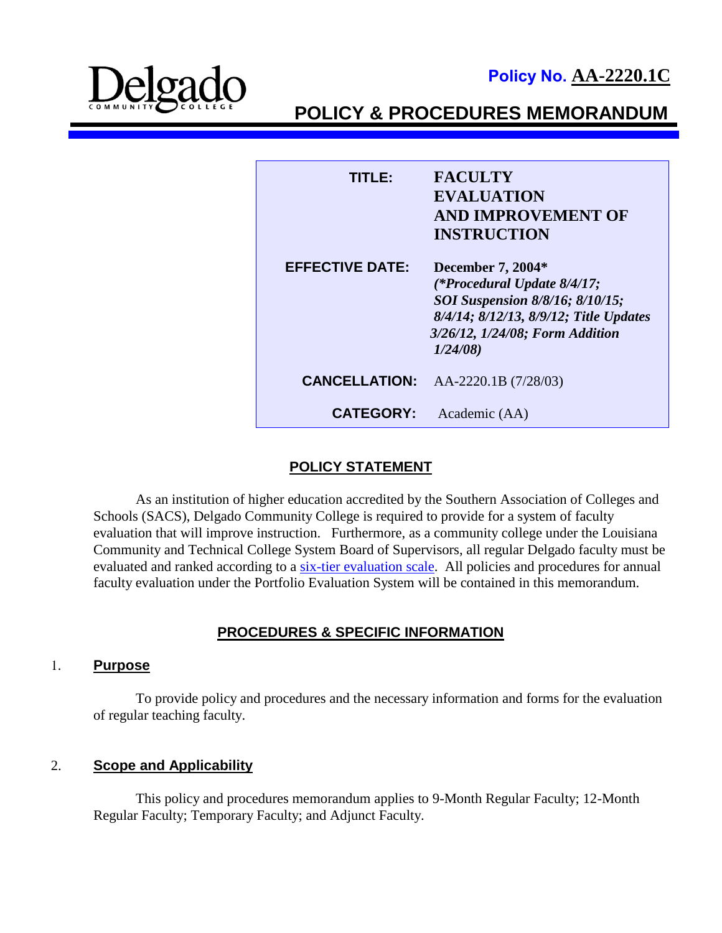**Policy No. AA-2220.1C**



**POLICY & PROCEDURES MEMORANDUM**

| TITI E9                | <b>FACULTY</b><br><b>EVALUATION</b><br><b>AND IMPROVEMENT OF</b><br><b>INSTRUCTION</b>                                                                                      |
|------------------------|-----------------------------------------------------------------------------------------------------------------------------------------------------------------------------|
| <b>EFFECTIVE DATE:</b> | December 7, 2004*<br>(*Procedural Update 8/4/17;<br>SOI Suspension 8/8/16; 8/10/15;<br>8/4/14; 8/12/13, 8/9/12; Title Updates<br>3/26/12, 1/24/08; Form Addition<br>1/24/08 |
|                        | <b>CANCELLATION:</b> AA-2220.1B (7/28/03)                                                                                                                                   |
| <b>CATEGORY:</b>       | Academic (AA)                                                                                                                                                               |

## **POLICY STATEMENT**

As an institution of higher education accredited by the Southern Association of Colleges and Schools (SACS), Delgado Community College is required to provide for a system of faculty evaluation that will improve instruction. Furthermore, as a community college under the Louisiana Community and Technical College System Board of Supervisors, all regular Delgado faculty must be evaluated and ranked according to a [six-tier evaluation scale.](http://docushare3.dcc.edu/docushare/dsweb/Get/Document-6815) All policies and procedures for annual faculty evaluation under the Portfolio Evaluation System will be contained in this memorandum.

## **PROCEDURES & SPECIFIC INFORMATION**

#### 1. **Purpose**

To provide policy and procedures and the necessary information and forms for the evaluation of regular teaching faculty.

## 2. **Scope and Applicability**

This policy and procedures memorandum applies to 9-Month Regular Faculty; 12-Month Regular Faculty; Temporary Faculty; and Adjunct Faculty.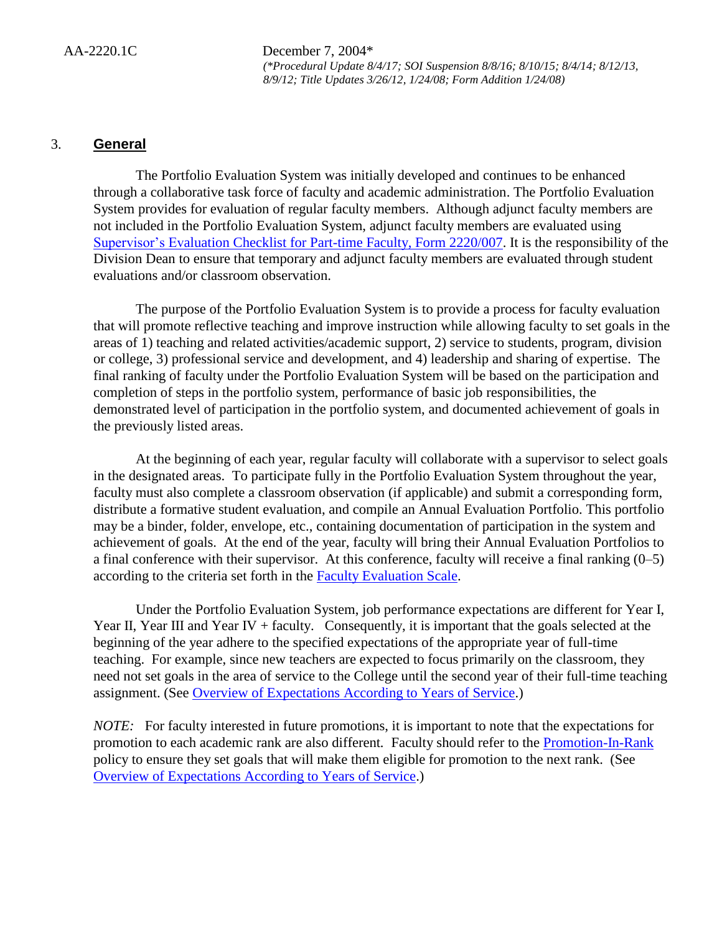## 3. **General**

The Portfolio Evaluation System was initially developed and continues to be enhanced through a collaborative task force of faculty and academic administration. The Portfolio Evaluation System provides for evaluation of regular faculty members. Although adjunct faculty members are not included in the Portfolio Evaluation System, adjunct faculty members are evaluated using [Supervisor's Evaluation Checklist for Part-time Faculty, Form 2220/007.](http://docushare3.dcc.edu/docushare/dsweb/Get/Document-4730/) It is the responsibility of the Division Dean to ensure that temporary and adjunct faculty members are evaluated through student evaluations and/or classroom observation.

The purpose of the Portfolio Evaluation System is to provide a process for faculty evaluation that will promote reflective teaching and improve instruction while allowing faculty to set goals in the areas of 1) teaching and related activities/academic support, 2) service to students, program, division or college, 3) professional service and development, and 4) leadership and sharing of expertise. The final ranking of faculty under the Portfolio Evaluation System will be based on the participation and completion of steps in the portfolio system, performance of basic job responsibilities, the demonstrated level of participation in the portfolio system, and documented achievement of goals in the previously listed areas.

At the beginning of each year, regular faculty will collaborate with a supervisor to select goals in the designated areas. To participate fully in the Portfolio Evaluation System throughout the year, faculty must also complete a classroom observation (if applicable) and submit a corresponding form, distribute a formative student evaluation, and compile an Annual Evaluation Portfolio. This portfolio may be a binder, folder, envelope, etc., containing documentation of participation in the system and achievement of goals. At the end of the year, faculty will bring their Annual Evaluation Portfolios to a final conference with their supervisor. At this conference, faculty will receive a final ranking (0–5) according to the criteria set forth in the [Faculty Evaluation Scale.](http://docushare3.dcc.edu/docushare/dsweb/Get/Document-6815)

Under the Portfolio Evaluation System, job performance expectations are different for Year I, Year II, Year III and Year IV + faculty. Consequently, it is important that the goals selected at the beginning of the year adhere to the specified expectations of the appropriate year of full-time teaching. For example, since new teachers are expected to focus primarily on the classroom, they need not set goals in the area of service to the College until the second year of their full-time teaching assignment. (See [Overview of Expectations According to Years of Service.](http://docushare3.dcc.edu/docushare/dsweb/Get/Document-4893))

*NOTE:* For faculty interested in future promotions, it is important to note that the expectations for promotion to each academic rank are also different*.* Faculty should refer to the [Promotion-In-Rank](http://docushare3.dcc.edu/docushare/dsweb/Get/Document-141/2321-1G.DOC) policy to ensure they set goals that will make them eligible for promotion to the next rank. (See [Overview of Expectations According to Years of Service.](http://docushare3.dcc.edu/docushare/dsweb/Get/Document-4893))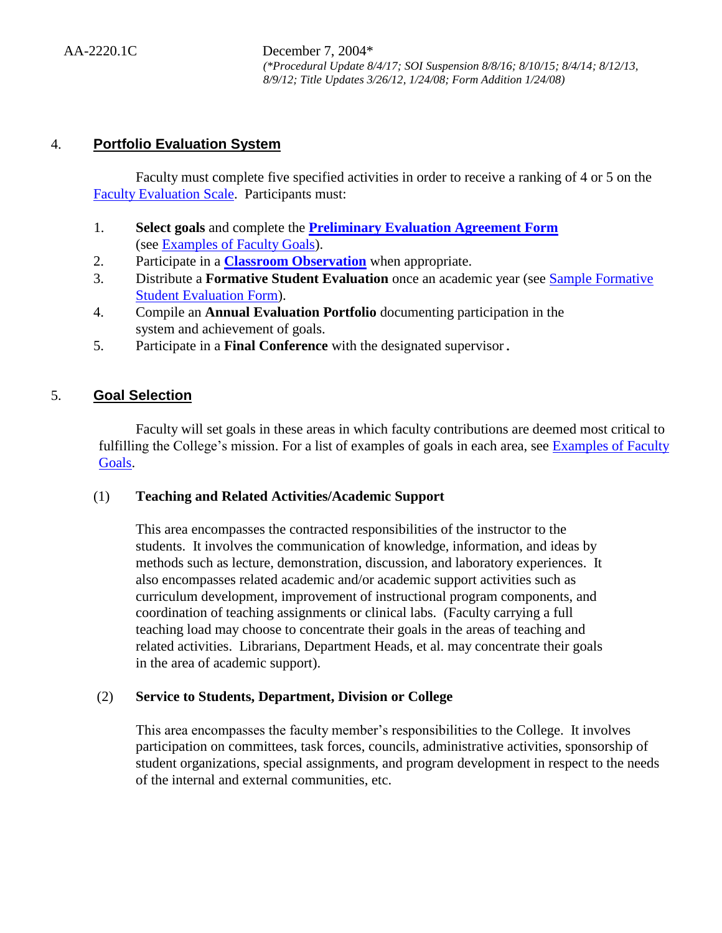## 4. **Portfolio Evaluation System**

Faculty must complete five specified activities in order to receive a ranking of 4 or 5 on the [Faculty Evaluation Scale.](http://docushare3.dcc.edu/docushare/dsweb/Get/Document-6815) Participants must:

- 1. **Select goals** and complete the **[Preliminary Evaluation Agreement Form](http://docushare3.dcc.edu/docushare/dsweb/Get/Document-4729/)** (see [Examples of Faculty Goals\)](http://docushare3.dcc.edu/docushare/dsweb/Get/Document-6816).
- 2. Participate in a **[Classroom Observation](http://docushare3.dcc.edu/docushare/dsweb/Get/Document-4167)** when appropriate.
- 3. Distribute a **Formative Student Evaluation** once an academic year (see [Sample Formative](http://docushare3.dcc.edu/docushare/dsweb/Get/Document-1793)  [Student Evaluation Form\)](http://docushare3.dcc.edu/docushare/dsweb/Get/Document-1793).
- 4. Compile an **Annual Evaluation Portfolio** documenting participation in the system and achievement of goals.
- 5. Participate in a **Final Conference** with the designated supervisor.

## 5. **Goal Selection**

Faculty will set goals in these areas in which faculty contributions are deemed most critical to fulfilling the College's mission. For a list of examples of goals in each area, see Examples of Faculty [Goals.](http://docushare3.dcc.edu/docushare/dsweb/Get/Document-6816)

## (1) **Teaching and Related Activities/Academic Support**

This area encompasses the contracted responsibilities of the instructor to the students. It involves the communication of knowledge, information, and ideas by methods such as lecture, demonstration, discussion, and laboratory experiences. It also encompasses related academic and/or academic support activities such as curriculum development, improvement of instructional program components, and coordination of teaching assignments or clinical labs. (Faculty carrying a full teaching load may choose to concentrate their goals in the areas of teaching and related activities. Librarians, Department Heads, et al. may concentrate their goals in the area of academic support).

## (2) **Service to Students, Department, Division or College**

This area encompasses the faculty member's responsibilities to the College. It involves participation on committees, task forces, councils, administrative activities, sponsorship of student organizations, special assignments, and program development in respect to the needs of the internal and external communities, etc.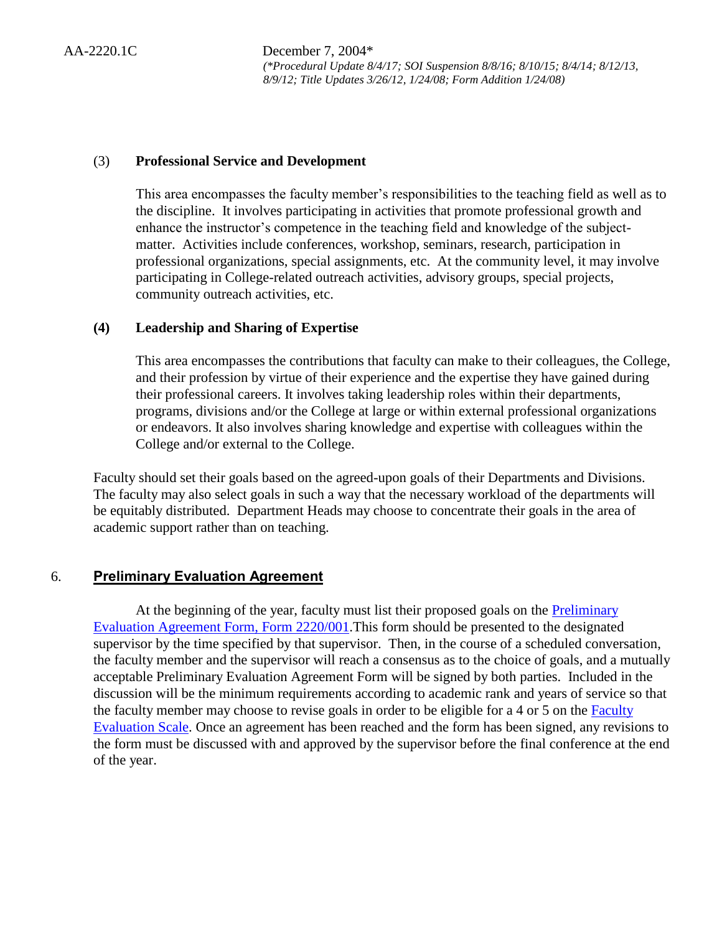#### (3) **Professional Service and Development**

This area encompasses the faculty member's responsibilities to the teaching field as well as to the discipline. It involves participating in activities that promote professional growth and enhance the instructor's competence in the teaching field and knowledge of the subjectmatter. Activities include conferences, workshop, seminars, research, participation in professional organizations, special assignments, etc. At the community level, it may involve participating in College-related outreach activities, advisory groups, special projects, community outreach activities, etc.

#### **(4) Leadership and Sharing of Expertise**

This area encompasses the contributions that faculty can make to their colleagues, the College, and their profession by virtue of their experience and the expertise they have gained during their professional careers. It involves taking leadership roles within their departments, programs, divisions and/or the College at large or within external professional organizations or endeavors. It also involves sharing knowledge and expertise with colleagues within the College and/or external to the College.

Faculty should set their goals based on the agreed-upon goals of their Departments and Divisions. The faculty may also select goals in such a way that the necessary workload of the departments will be equitably distributed. Department Heads may choose to concentrate their goals in the area of academic support rather than on teaching.

## 6. **Preliminary Evaluation Agreement**

At the beginning of the year, faculty must list their proposed goals on the **Preliminary** [Evaluation Agreement Form, Form 2220/001.](http://docushare3.dcc.edu/docushare/dsweb/Get/Document-4729/)This form should be presented to the designated supervisor by the time specified by that supervisor. Then, in the course of a scheduled conversation, the faculty member and the supervisor will reach a consensus as to the choice of goals, and a mutually acceptable Preliminary Evaluation Agreement Form will be signed by both parties. Included in the discussion will be the minimum requirements according to academic rank and years of service so that the faculty member may choose to revise goals in order to be eligible for a 4 or 5 on the [Faculty](http://docushare3.dcc.edu/docushare/dsweb/Get/Document-6815)  [Evaluation Scale.](http://docushare3.dcc.edu/docushare/dsweb/Get/Document-6815) Once an agreement has been reached and the form has been signed, any revisions to the form must be discussed with and approved by the supervisor before the final conference at the end of the year.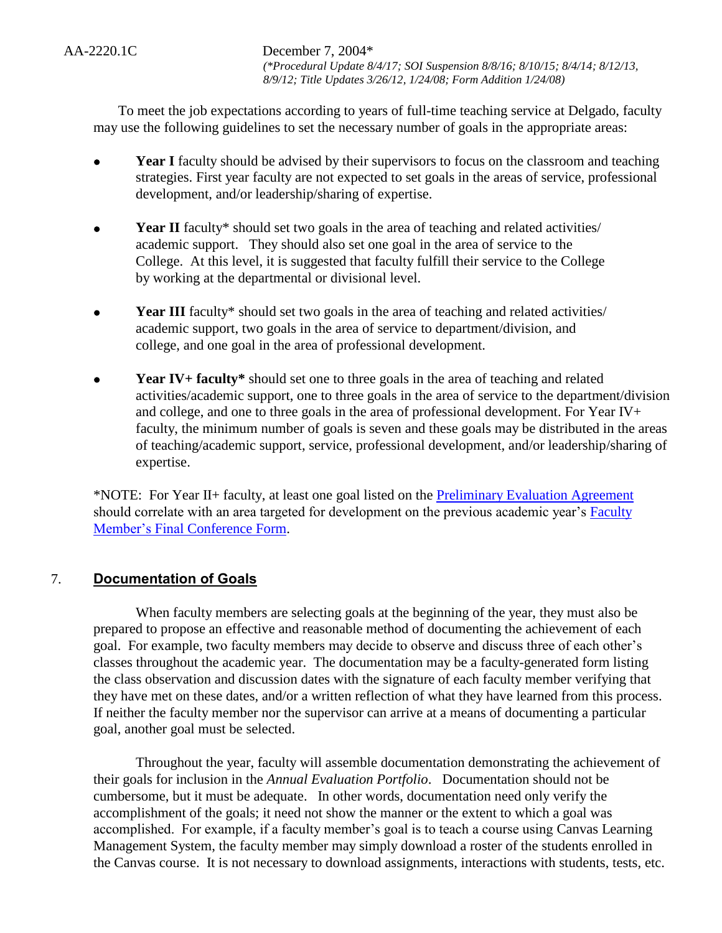To meet the job expectations according to years of full-time teaching service at Delgado, faculty may use the following guidelines to set the necessary number of goals in the appropriate areas:

- **Year I** faculty should be advised by their supervisors to focus on the classroom and teaching strategies. First year faculty are not expected to set goals in the areas of service, professional development, and/or leadership/sharing of expertise.
- **Year II** faculty\* should set two goals in the area of teaching and related activities/ academic support. They should also set one goal in the area of service to the College. At this level, it is suggested that faculty fulfill their service to the College by working at the departmental or divisional level.
- **Year III** faculty<sup>\*</sup> should set two goals in the area of teaching and related activities/ academic support, two goals in the area of service to department/division, and college, and one goal in the area of professional development.
- **Year IV+ faculty\*** should set one to three goals in the area of teaching and related activities/academic support, one to three goals in the area of service to the department/division and college, and one to three goals in the area of professional development. For Year IV+ faculty, the minimum number of goals is seven and these goals may be distributed in the areas of teaching/academic support, service, professional development, and/or leadership/sharing of expertise.

\*NOTE: For Year II+ faculty, at least one goal listed on the [Preliminary Evaluation Agreement](http://docushare3.dcc.edu/docushare/dsweb/Get/Document-4729/) should correlate with an area targeted for development on the previous academic year's [Faculty](http://docushare3.dcc.edu/docushare/dsweb/Get/Document-4734)  [Member's Final Conference Form.](http://docushare3.dcc.edu/docushare/dsweb/Get/Document-4734)

## 7. **Documentation of Goals**

When faculty members are selecting goals at the beginning of the year, they must also be prepared to propose an effective and reasonable method of documenting the achievement of each goal. For example, two faculty members may decide to observe and discuss three of each other's classes throughout the academic year. The documentation may be a faculty-generated form listing the class observation and discussion dates with the signature of each faculty member verifying that they have met on these dates, and/or a written reflection of what they have learned from this process. If neither the faculty member nor the supervisor can arrive at a means of documenting a particular goal, another goal must be selected.

Throughout the year, faculty will assemble documentation demonstrating the achievement of their goals for inclusion in the *Annual Evaluation Portfolio*. Documentation should not be cumbersome, but it must be adequate. In other words, documentation need only verify the accomplishment of the goals; it need not show the manner or the extent to which a goal was accomplished. For example, if a faculty member's goal is to teach a course using Canvas Learning Management System, the faculty member may simply download a roster of the students enrolled in the Canvas course. It is not necessary to download assignments, interactions with students, tests, etc.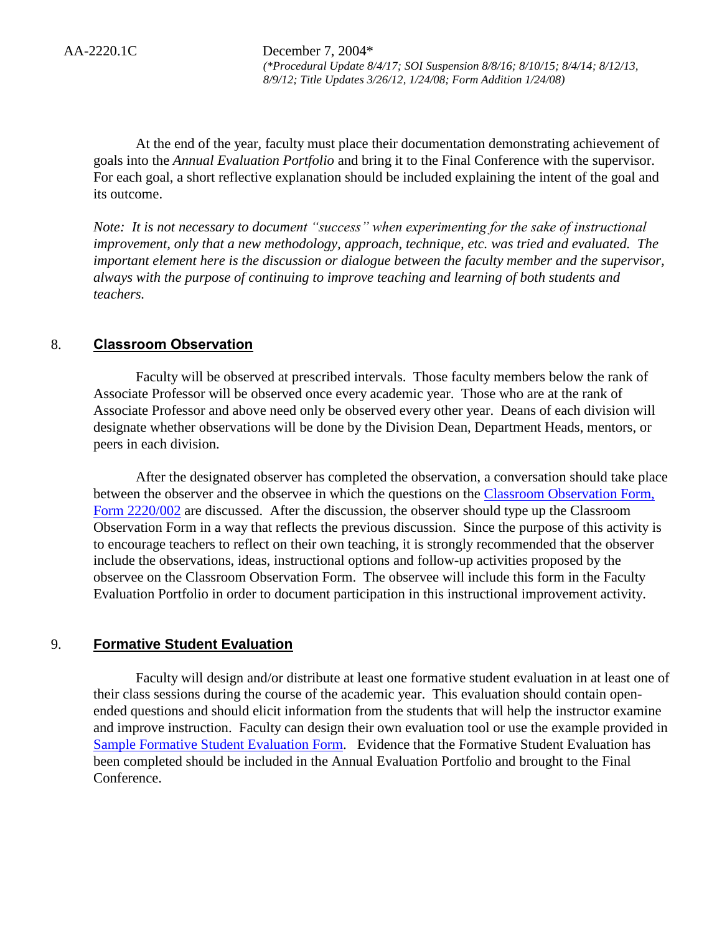At the end of the year, faculty must place their documentation demonstrating achievement of goals into the *Annual Evaluation Portfolio* and bring it to the Final Conference with the supervisor. For each goal, a short reflective explanation should be included explaining the intent of the goal and its outcome.

*Note: It is not necessary to document "success" when experimenting for the sake of instructional improvement, only that a new methodology, approach, technique, etc. was tried and evaluated. The important element here is the discussion or dialogue between the faculty member and the supervisor, always with the purpose of continuing to improve teaching and learning of both students and teachers.*

## 8. **Classroom Observation**

Faculty will be observed at prescribed intervals. Those faculty members below the rank of Associate Professor will be observed once every academic year. Those who are at the rank of Associate Professor and above need only be observed every other year. Deans of each division will designate whether observations will be done by the Division Dean, Department Heads, mentors, or peers in each division.

After the designated observer has completed the observation, a conversation should take place between the observer and the observee in which the questions on the [Classroom Observation Form,](http://docushare3.dcc.edu/docushare/dsweb/Get/Document-4167)  [Form 2220/002](http://docushare3.dcc.edu/docushare/dsweb/Get/Document-4167) are discussed. After the discussion, the observer should type up the Classroom Observation Form in a way that reflects the previous discussion. Since the purpose of this activity is to encourage teachers to reflect on their own teaching, it is strongly recommended that the observer include the observations, ideas, instructional options and follow-up activities proposed by the observee on the Classroom Observation Form. The observee will include this form in the Faculty Evaluation Portfolio in order to document participation in this instructional improvement activity.

#### 9. **Formative Student Evaluation**

Faculty will design and/or distribute at least one formative student evaluation in at least one of their class sessions during the course of the academic year. This evaluation should contain openended questions and should elicit information from the students that will help the instructor examine and improve instruction. Faculty can design their own evaluation tool or use the example provided in [Sample Formative Student Evaluation Form.](http://docushare3.dcc.edu/docushare/dsweb/Get/Document-1793) Evidence that the Formative Student Evaluation has been completed should be included in the Annual Evaluation Portfolio and brought to the Final Conference.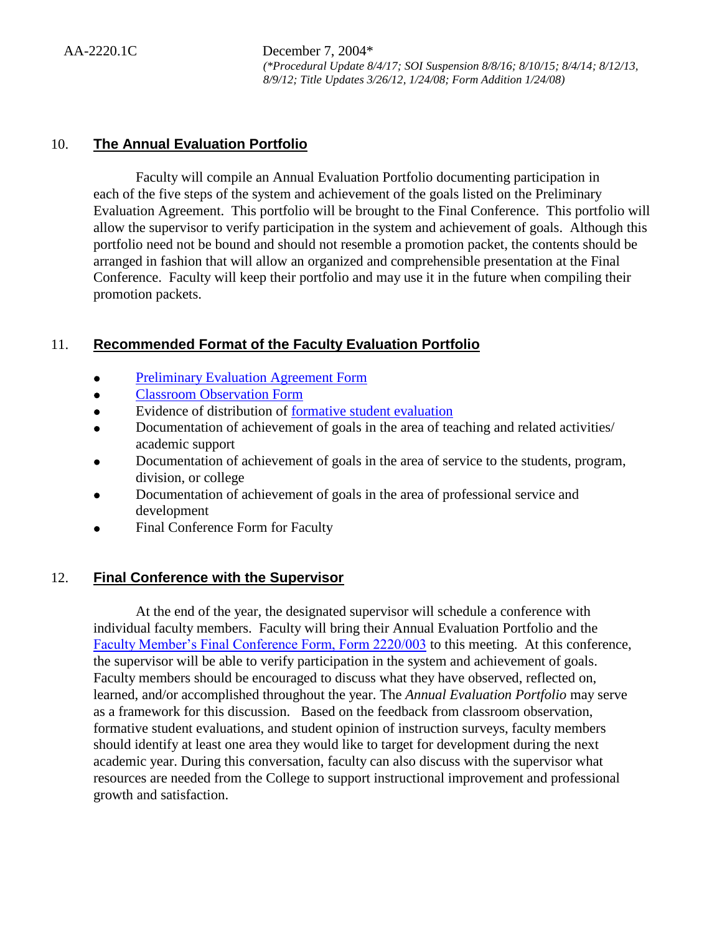## 10. **The Annual Evaluation Portfolio**

Faculty will compile an Annual Evaluation Portfolio documenting participation in each of the five steps of the system and achievement of the goals listed on the Preliminary Evaluation Agreement. This portfolio will be brought to the Final Conference. This portfolio will allow the supervisor to verify participation in the system and achievement of goals. Although this portfolio need not be bound and should not resemble a promotion packet, the contents should be arranged in fashion that will allow an organized and comprehensible presentation at the Final Conference. Faculty will keep their portfolio and may use it in the future when compiling their promotion packets.

## 11. **Recommended Format of the Faculty Evaluation Portfolio**

- [Preliminary Evaluation Agreement Form](http://docushare3.dcc.edu/docushare/dsweb/Get/Document-4729/)
- [Classroom Observation Form](http://docushare3.dcc.edu/docushare/dsweb/Get/Document-4167)
- Evidence of distribution of [formative student evaluation](http://docushare3.dcc.edu/docushare/dsweb/Get/Document-1793)
- Documentation of achievement of goals in the area of teaching and related activities/ academic support
- Documentation of achievement of goals in the area of service to the students, program, division, or college
- Documentation of achievement of goals in the area of professional service and development
- Final Conference Form for Faculty

## 12. **Final Conference with the Supervisor**

At the end of the year, the designated supervisor will schedule a conference with individual faculty members. Faculty will bring their Annual Evaluation Portfolio and the [Faculty Member's Final Conference Form, Form 2220/003](http://docushare3.dcc.edu/docushare/dsweb/Get/Document-4734) to this meeting. At this conference, the supervisor will be able to verify participation in the system and achievement of goals. Faculty members should be encouraged to discuss what they have observed, reflected on, learned, and/or accomplished throughout the year. The *Annual Evaluation Portfolio* may serve as a framework for this discussion. Based on the feedback from classroom observation, formative student evaluations, and student opinion of instruction surveys, faculty members should identify at least one area they would like to target for development during the next academic year. During this conversation, faculty can also discuss with the supervisor what resources are needed from the College to support instructional improvement and professional growth and satisfaction.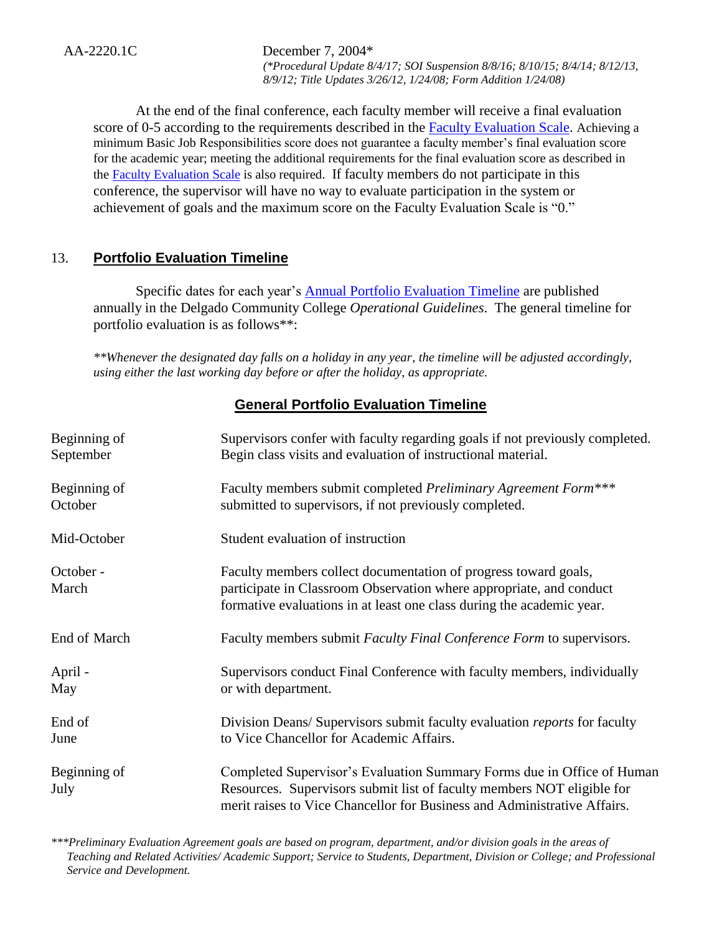AA-2220.1C December 7, 2004\*

*(\*Procedural Update 8/4/17; SOI Suspension 8/8/16; 8/10/15; 8/4/14; 8/12/13, 8/9/12; Title Updates 3/26/12, 1/24/08; Form Addition 1/24/08)*

 At the end of the final conference, each faculty member will receive a final evaluation score of 0-5 according to the requirements described in the [Faculty Evaluation Scale.](http://docushare3.dcc.edu/docushare/dsweb/Get/Document-6815) Achieving a minimum Basic Job Responsibilities score does not guarantee a faculty member's final evaluation score for the academic year; meeting the additional requirements for the final evaluation score as described in the [Faculty Evaluation Scale](http://docushare3.dcc.edu/docushare/dsweb/Get/Document-6815) is also required. If faculty members do not participate in this conference, the supervisor will have no way to evaluate participation in the system or achievement of goals and the maximum score on the Faculty Evaluation Scale is "0."

# 13. **Portfolio Evaluation Timeline**

Specific dates for each year's [Annual Portfolio Evaluation Timeline](http://docushare3.dcc.edu/docushare/dsweb/Get/Document-442/AnnualPortfolioEvaluationTimeline.doc) are published annually in the Delgado Community College *Operational Guidelines*. The general timeline for portfolio evaluation is as follows\*\*:

*\*\*Whenever the designated day falls on a holiday in any year, the timeline will be adjusted accordingly, using either the last working day before or after the holiday, as appropriate.*

## **General Portfolio Evaluation Timeline**

| Beginning of         | Supervisors confer with faculty regarding goals if not previously completed.                                                                                                                                                 |
|----------------------|------------------------------------------------------------------------------------------------------------------------------------------------------------------------------------------------------------------------------|
| September            | Begin class visits and evaluation of instructional material.                                                                                                                                                                 |
| Beginning of         | Faculty members submit completed Preliminary Agreement Form***                                                                                                                                                               |
| October              | submitted to supervisors, if not previously completed.                                                                                                                                                                       |
| Mid-October          | Student evaluation of instruction                                                                                                                                                                                            |
| October -<br>March   | Faculty members collect documentation of progress toward goals,<br>participate in Classroom Observation where appropriate, and conduct<br>formative evaluations in at least one class during the academic year.              |
| End of March         | Faculty members submit <i>Faculty Final Conference Form</i> to supervisors.                                                                                                                                                  |
| April -              | Supervisors conduct Final Conference with faculty members, individually                                                                                                                                                      |
| May                  | or with department.                                                                                                                                                                                                          |
| End of               | Division Deans/Supervisors submit faculty evaluation <i>reports</i> for faculty                                                                                                                                              |
| June                 | to Vice Chancellor for Academic Affairs.                                                                                                                                                                                     |
| Beginning of<br>July | Completed Supervisor's Evaluation Summary Forms due in Office of Human<br>Resources. Supervisors submit list of faculty members NOT eligible for<br>merit raises to Vice Chancellor for Business and Administrative Affairs. |

*\*\*\*Preliminary Evaluation Agreement goals are based on program, department, and/or division goals in the areas of Teaching and Related Activities/ Academic Support; Service to Students, Department, Division or College; and Professional Service and Development.*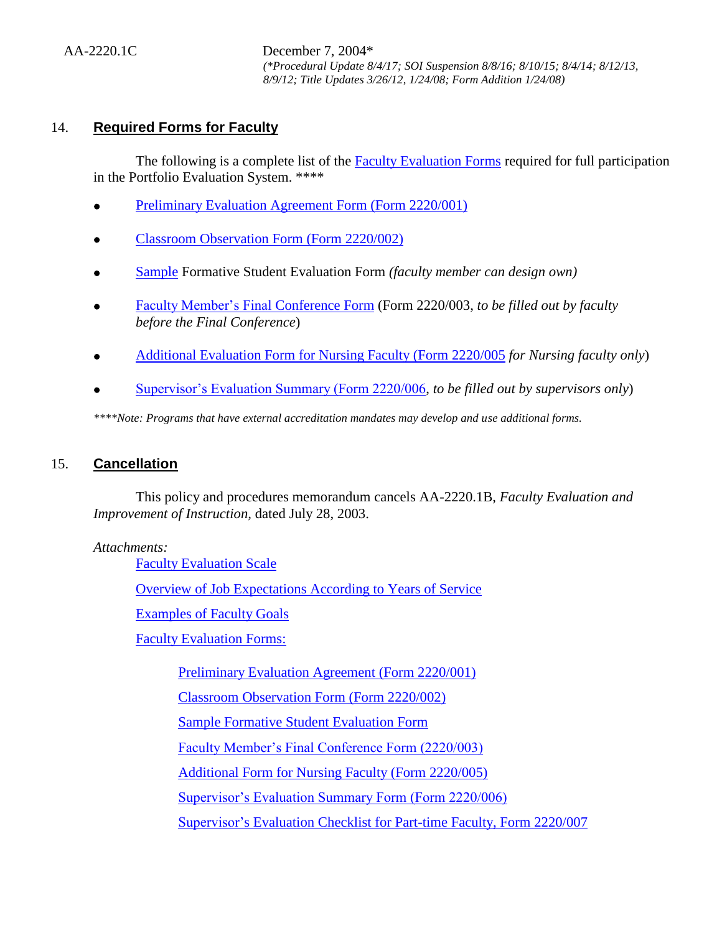## 14. **Required Forms for Faculty**

The following is a complete list of the [Faculty Evaluation Forms](http://docushare3.dcc.edu/docushare/dsweb/Get/Document-441/FacultyEvaluationForms2122-001,+etc..doc) required for full participation in the Portfolio Evaluation System. \*\*\*\*

- [Preliminary Evaluation Agreement Form \(Form 2220/001\)](http://docushare3.dcc.edu/docushare/dsweb/Get/Document-4729/)
- [Classroom Observation Form \(Form 2220/002\)](http://docushare3.dcc.edu/docushare/dsweb/Get/Document-4167)
- [Sample](http://docushare3.dcc.edu/docushare/dsweb/Get/Document-1793) Formative Student Evaluation Form *(faculty member can design own)*
- [Faculty Member's Final Conference Form](http://docushare3.dcc.edu/docushare/dsweb/Get/Document-4734/) (Form 2220/003, *to be filled out by faculty before the Final Conference*)
- [Additional Evaluation Form for Nursing Faculty \(Form 2220/005](http://docushare3.dcc.edu/docushare/dsweb/Get/Document-4732/) *for Nursing faculty only*)
- [Supervisor's Evaluation Summary \(Form 2220/006,](http://docushare3.dcc.edu/docushare/dsweb/Get/Document-4731/) *to be filled out by supervisors only*)

*\*\*\*\*Note: Programs that have external accreditation mandates may develop and use additional forms.* 

## 15. **Cancellation**

This policy and procedures memorandum cancels AA-2220.1B, *Faculty Evaluation and Improvement of Instruction,* dated July 28, 2003.

#### *Attachments:*

[Faculty Evaluation Scale](http://docushare3.dcc.edu/docushare/dsweb/Get/Document-6815)

[Overview of Job Expectations According to Years of Service](http://docushare3.dcc.edu/docushare/dsweb/Get/Document-4893)

[Examples of Faculty Goals](http://docushare3.dcc.edu/docushare/dsweb/Get/Document-6816)

[Faculty Evaluation Forms:](http://docushare3.dcc.edu/docushare/dsweb/Get/Document-441/FacultyEvaluationForms2122-001,+etc..doc)

[Preliminary Evaluation Agreement \(Form 2220/001\)](http://docushare3.dcc.edu/docushare/dsweb/Get/Document-4729/) [Classroom Observation Form \(Form 2220/002\)](http://docushare3.dcc.edu/docushare/dsweb/Get/Document-4167) [Sample Formative Student Evaluation Form](http://docushare3.dcc.edu/docushare/dsweb/Get/Document-1793) [Faculty Member's Final Conference Form \(2220/003\)](http://docushare3.dcc.edu/docushare/dsweb/Get/Document-4734/) Additional Form for [Nursing Faculty \(Form 2220/005\)](http://docushare3.dcc.edu/docushare/dsweb/Get/Document-4732/) [Supervisor's Evaluation Summary Form \(Form 2220/006\)](http://docushare3.dcc.edu/docushare/dsweb/Get/Document-4731/) [Supervisor's Evaluation Checklist for Part-time Faculty, Form 2220/007](http://docushare3.dcc.edu/docushare/dsweb/Get/Document-4730/)